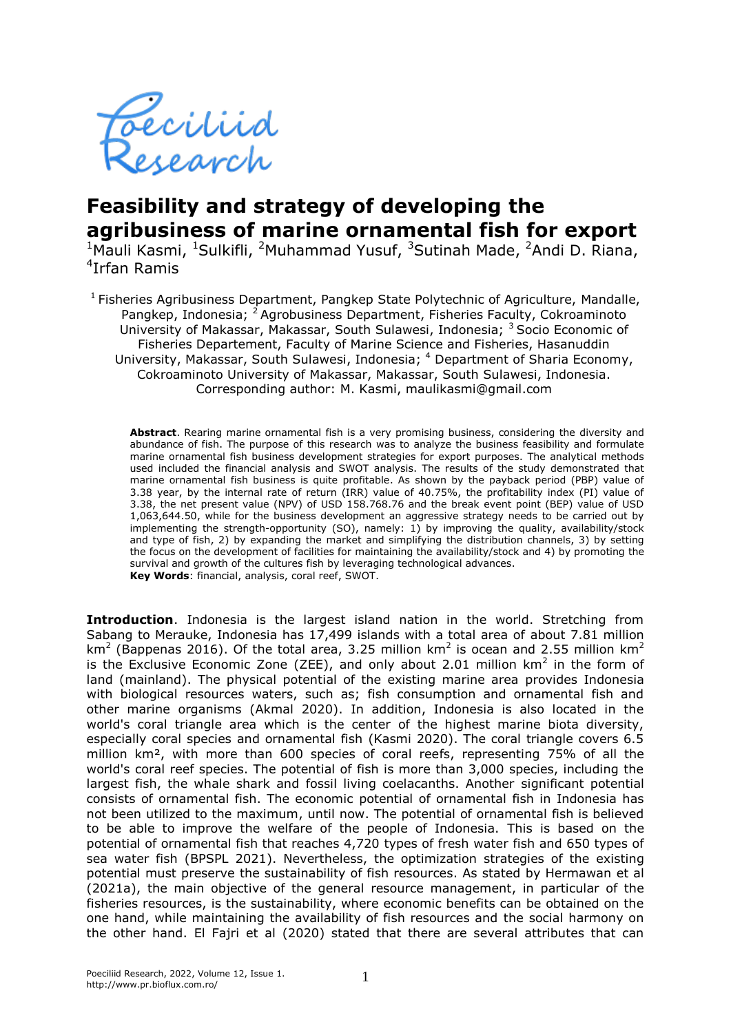

# **Feasibility and strategy of developing the agribusiness of marine ornamental fish for export**

<sup>1</sup>Mauli Kasmi, <sup>1</sup>Sulkifli, <sup>2</sup>Muhammad Yusuf, <sup>3</sup>Sutinah Made, <sup>2</sup>Andi D. Riana, 4 Irfan Ramis

<sup>1</sup> Fisheries Agribusiness Department, Pangkep State Polytechnic of Agriculture, Mandalle, Pangkep, Indonesia; <sup>2</sup> Agrobusiness Department, Fisheries Faculty, Cokroaminoto University of Makassar, Makassar, South Sulawesi, Indonesia; <sup>3</sup> Socio Economic of Fisheries Departement, Faculty of Marine Science and Fisheries, Hasanuddin University, Makassar, South Sulawesi, Indonesia; <sup>4</sup> Department of Sharia Economy, Cokroaminoto University of Makassar, Makassar, South Sulawesi, Indonesia. Corresponding author: M. Kasmi, maulikasmi@gmail.com

**Abstract**. Rearing marine ornamental fish is a very promising business, considering the diversity and abundance of fish. The purpose of this research was to analyze the business feasibility and formulate marine ornamental fish business development strategies for export purposes. The analytical methods used included the financial analysis and SWOT analysis. The results of the study demonstrated that marine ornamental fish business is quite profitable. As shown by the payback period (PBP) value of 3.38 year, by the internal rate of return (IRR) value of 40.75%, the profitability index (PI) value of 3.38, the net present value (NPV) of USD 158.768.76 and the break event point (BEP) value of USD 1,063,644.50, while for the business development an aggressive strategy needs to be carried out by implementing the strength-opportunity (SO), namely: 1) by improving the quality, availability/stock and type of fish, 2) by expanding the market and simplifying the distribution channels, 3) by setting the focus on the development of facilities for maintaining the availability/stock and 4) by promoting the survival and growth of the cultures fish by leveraging technological advances. **Key Words**: financial, analysis, coral reef, SWOT.

**Introduction**. Indonesia is the largest island nation in the world. Stretching from Sabang to Merauke, Indonesia has 17,499 islands with a total area of about 7.81 million km<sup>2</sup> (Bappenas 2016). Of the total area, 3.25 million km<sup>2</sup> is ocean and 2.55 million km<sup>2</sup> is the Exclusive Economic Zone (ZEE), and only about 2.01 million  $km^2$  in the form of land (mainland). The physical potential of the existing marine area provides Indonesia with biological resources waters, such as; fish consumption and ornamental fish and other marine organisms (Akmal 2020). In addition, Indonesia is also located in the world's coral triangle area which is the center of the highest marine biota diversity, especially coral species and ornamental fish (Kasmi 2020). The coral triangle covers 6.5 million km², with more than 600 species of coral reefs, representing 75% of all the world's coral reef species. The potential of fish is more than 3,000 species, including the largest fish, the whale shark and fossil living coelacanths. Another significant potential consists of ornamental fish. The economic potential of ornamental fish in Indonesia has not been utilized to the maximum, until now. The potential of ornamental fish is believed to be able to improve the welfare of the people of Indonesia. This is based on the potential of ornamental fish that reaches 4,720 types of fresh water fish and 650 types of sea water fish (BPSPL 2021). Nevertheless, the optimization strategies of the existing potential must preserve the sustainability of fish resources. As stated by Hermawan et al (2021a), the main objective of the general resource management, in particular of the fisheries resources, is the sustainability, where economic benefits can be obtained on the one hand, while maintaining the availability of fish resources and the social harmony on the other hand. El Fajri et al (2020) stated that there are several attributes that can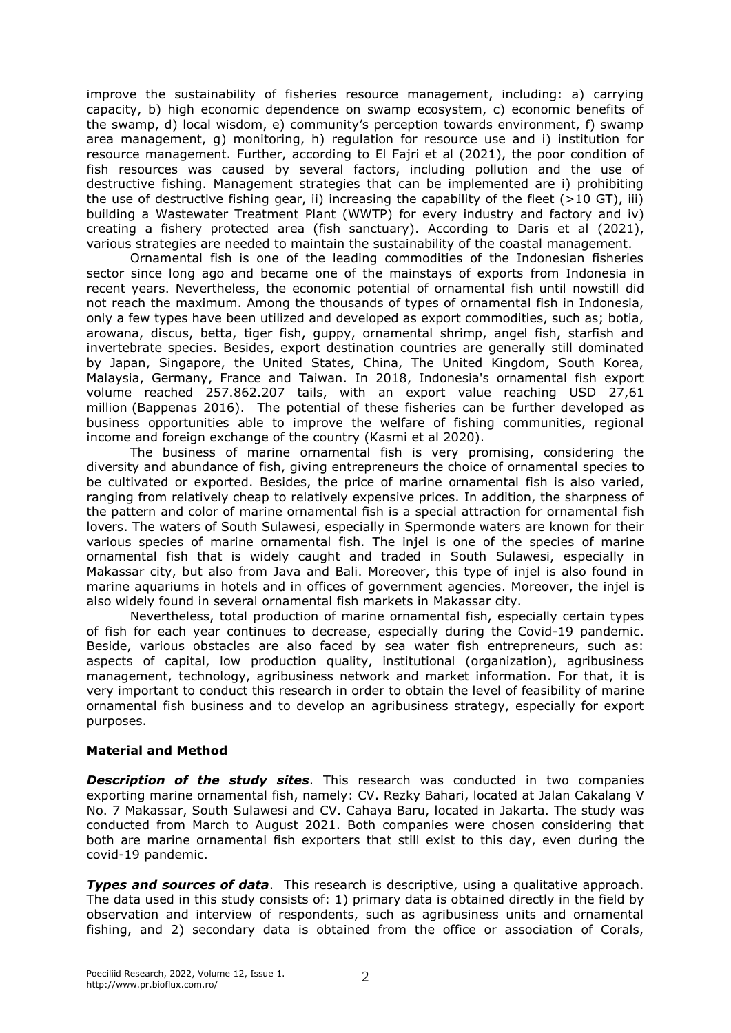improve the sustainability of fisheries resource management, including: a) carrying capacity, b) high economic dependence on swamp ecosystem, c) economic benefits of the swamp, d) local wisdom, e) community's perception towards environment, f) swamp area management, g) monitoring, h) regulation for resource use and i) institution for resource management. Further, according to El Fajri et al (2021), the poor condition of fish resources was caused by several factors, including pollution and the use of destructive fishing. Management strategies that can be implemented are i) prohibiting the use of destructive fishing gear, ii) increasing the capability of the fleet ( $>10$  GT), iii) building a Wastewater Treatment Plant (WWTP) for every industry and factory and iv) creating a fishery protected area (fish sanctuary). According to Daris et al (2021), various strategies are needed to maintain the sustainability of the coastal management.

Ornamental fish is one of the leading commodities of the Indonesian fisheries sector since long ago and became one of the mainstays of exports from Indonesia in recent years. Nevertheless, the economic potential of ornamental fish until nowstill did not reach the maximum. Among the thousands of types of ornamental fish in Indonesia, only a few types have been utilized and developed as export commodities, such as; botia, arowana, discus, betta, tiger fish, guppy, ornamental shrimp, angel fish, starfish and invertebrate species. Besides, export destination countries are generally still dominated by Japan, Singapore, the United States, China, The United Kingdom, South Korea, Malaysia, Germany, France and Taiwan. In 2018, Indonesia's ornamental fish export volume reached 257.862.207 tails, with an export value reaching USD 27,61 million (Bappenas 2016). The potential of these fisheries can be further developed as business opportunities able to improve the welfare of fishing communities, regional income and foreign exchange of the country (Kasmi et al 2020).

The business of marine ornamental fish is very promising, considering the diversity and abundance of fish, giving entrepreneurs the choice of ornamental species to be cultivated or exported. Besides, the price of marine ornamental fish is also varied, ranging from relatively cheap to relatively expensive prices. In addition, the sharpness of the pattern and color of marine ornamental fish is a special attraction for ornamental fish lovers. The waters of South Sulawesi, especially in Spermonde waters are known for their various species of marine ornamental fish. The injel is one of the species of marine ornamental fish that is widely caught and traded in South Sulawesi, especially in Makassar city, but also from Java and Bali. Moreover, this type of injel is also found in marine aquariums in hotels and in offices of government agencies. Moreover, the injel is also widely found in several ornamental fish markets in Makassar city.

Nevertheless, total production of marine ornamental fish, especially certain types of fish for each year continues to decrease, especially during the Covid-19 pandemic. Beside, various obstacles are also faced by sea water fish entrepreneurs, such as: aspects of capital, low production quality, institutional (organization), agribusiness management, technology, agribusiness network and market information. For that, it is very important to conduct this research in order to obtain the level of feasibility of marine ornamental fish business and to develop an agribusiness strategy, especially for export purposes.

## **Material and Method**

**Description of the study sites**. This research was conducted in two companies exporting marine ornamental fish, namely: CV. Rezky Bahari, located at Jalan Cakalang V No. 7 Makassar, South Sulawesi and CV. Cahaya Baru, located in Jakarta. The study was conducted from March to August 2021. Both companies were chosen considering that both are marine ornamental fish exporters that still exist to this day, even during the covid-19 pandemic.

**Types and sources of data**. This research is descriptive, using a qualitative approach. The data used in this study consists of: 1) primary data is obtained directly in the field by observation and interview of respondents, such as agribusiness units and ornamental fishing, and 2) secondary data is obtained from the office or association of Corals,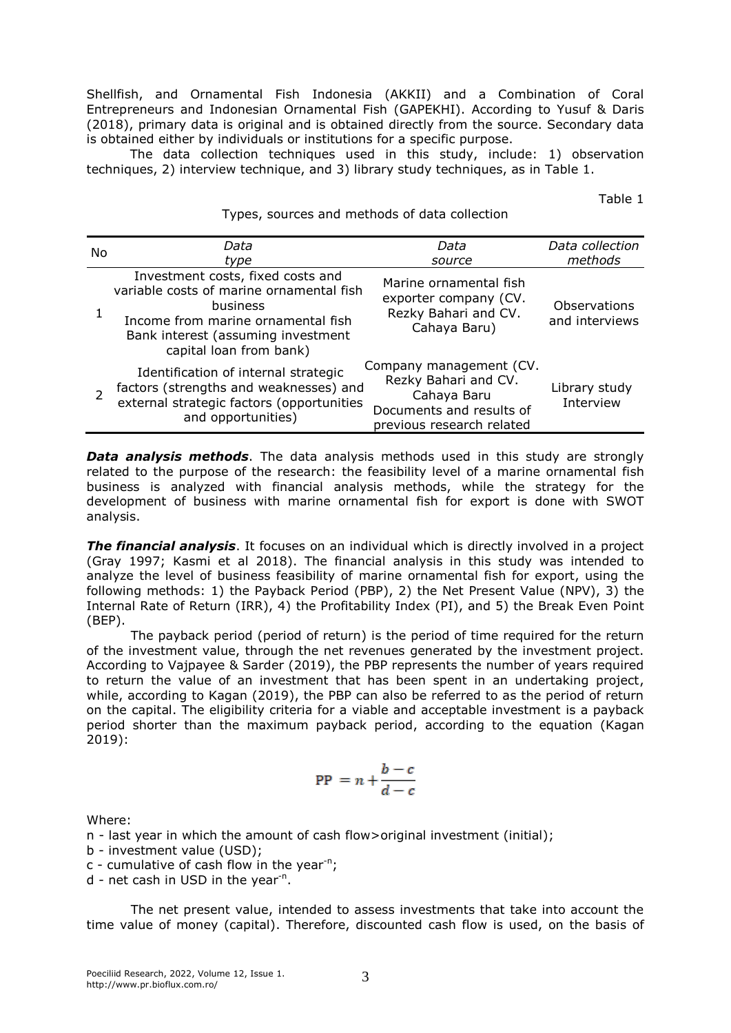Shellfish, and Ornamental Fish Indonesia (AKKII) and a Combination of Coral Entrepreneurs and Indonesian Ornamental Fish (GAPEKHI). According to Yusuf & Daris (2018), primary data is original and is obtained directly from the source. Secondary data is obtained either by individuals or institutions for a specific purpose.

The data collection techniques used in this study, include: 1) observation techniques, 2) interview technique, and 3) library study techniques, as in Table 1.

Types, sources and methods of data collection

Table 1

| No | Data                                                                                                                                                                                             | Data                                                                                                                    | Data collection                |
|----|--------------------------------------------------------------------------------------------------------------------------------------------------------------------------------------------------|-------------------------------------------------------------------------------------------------------------------------|--------------------------------|
|    | type                                                                                                                                                                                             | source                                                                                                                  | methods                        |
|    | Investment costs, fixed costs and<br>variable costs of marine ornamental fish<br>business<br>Income from marine ornamental fish<br>Bank interest (assuming investment<br>capital loan from bank) | Marine ornamental fish<br>exporter company (CV.<br>Rezky Bahari and CV.<br>Cahaya Baru)                                 | Observations<br>and interviews |
|    | Identification of internal strategic<br>factors (strengths and weaknesses) and<br>external strategic factors (opportunities<br>and opportunities)                                                | Company management (CV.<br>Rezky Bahari and CV.<br>Cahaya Baru<br>Documents and results of<br>previous research related | Library study<br>Interview     |

**Data analysis methods**. The data analysis methods used in this study are strongly related to the purpose of the research: the feasibility level of a marine ornamental fish business is analyzed with financial analysis methods, while the strategy for the development of business with marine ornamental fish for export is done with SWOT analysis.

*The financial analysis*. It focuses on an individual which is directly involved in a project (Gray 1997; Kasmi et al 2018). The financial analysis in this study was intended to analyze the level of business feasibility of marine ornamental fish for export, using the following methods: 1) the Payback Period (PBP), 2) the Net Present Value (NPV), 3) the Internal Rate of Return (IRR), 4) the Profitability Index (PI), and 5) the Break Even Point (BEP).

The payback period (period of return) is the period of time required for the return of the investment value, through the net revenues generated by the investment project. According to Vajpayee & Sarder (2019), the PBP represents the number of years required to return the value of an investment that has been spent in an undertaking project, while, according to Kagan (2019), the PBP can also be referred to as the period of return on the capital. The eligibility criteria for a viable and acceptable investment is a payback period shorter than the maximum payback period, according to the equation (Kagan 2019):

$$
\text{PP} = n + \frac{b - c}{d - c}
$$

Where:

n - last year in which the amount of cash flow>original investment (initial);

b - investment value (USD);

 $c$  - cumulative of cash flow in the year<sup>-n</sup>;

d - net cash in USD in the year<sup>-n</sup>.

The net present value, intended to assess investments that take into account the time value of money (capital). Therefore, discounted cash flow is used, on the basis of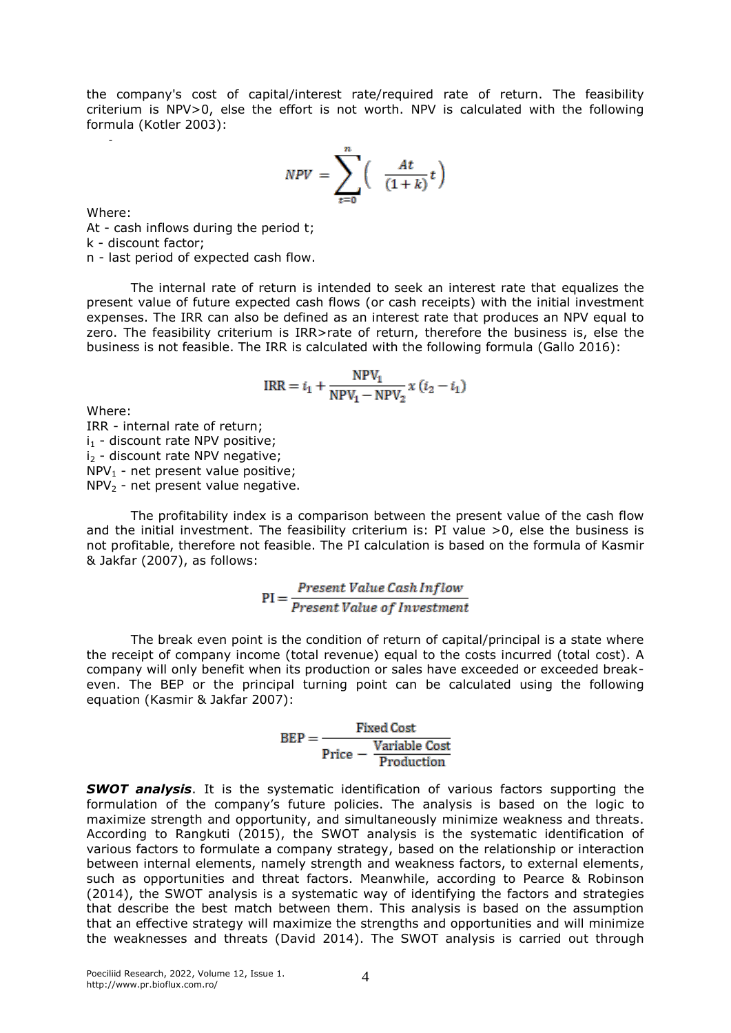the company's cost of capital/interest rate/required rate of return. The feasibility criterium is NPV>0, else the effort is not worth. NPV is calculated with the following formula (Kotler 2003):

$$
NPV = \sum_{t=0}^{n} \left( \frac{At}{(1+k)}t \right)
$$

Where:

*-*

At - cash inflows during the period t; k - discount factor; n - last period of expected cash flow.

The internal rate of return is intended to seek an interest rate that equalizes the present value of future expected cash flows (or cash receipts) with the initial investment expenses. The IRR can also be defined as an interest rate that produces an NPV equal to zero. The feasibility criterium is IRR>rate of return, therefore the business is, else the business is not feasible. The IRR is calculated with the following formula (Gallo 2016):

$$
IRR = i_1 + \frac{NPV_1}{NPV_1 - NPV_2}x (i_2 - i_1)
$$

Where:

IRR - internal rate of return;  $i_1$  - discount rate NPV positive; i<sub>2</sub> - discount rate NPV negative;  $NPV_1$  - net present value positive;  $NPV<sub>2</sub>$  - net present value negative.

The profitability index is a comparison between the present value of the cash flow and the initial investment. The feasibility criterium is: PI value  $>0$ , else the business is not profitable, therefore not feasible. The PI calculation is based on the formula of Kasmir & Jakfar (2007), as follows:

$$
PI = \frac{Present\ Value\ Cash\ Inflow}{Present\ Value\ of\ Investment}
$$

The break even point is the condition of return of capital/principal is a state where the receipt of company income (total revenue) equal to the costs incurred (total cost). A company will only benefit when its production or sales have exceeded or exceeded breakeven. The BEP or the principal turning point can be calculated using the following equation (Kasmir & Jakfar 2007):

 $\text{BEP} = \frac{\text{Fixed Cost}}{\text{Price} - \frac{\text{Variable Cost}}{\text{Production}}}$ 

*SWOT analysis*. It is the systematic identification of various factors supporting the formulation of the company's future policies. The analysis is based on the logic to maximize strength and opportunity, and simultaneously minimize weakness and threats. According to Rangkuti (2015), the SWOT analysis is the systematic identification of various factors to formulate a company strategy, based on the relationship or interaction between internal elements, namely strength and weakness factors, to external elements, such as opportunities and threat factors. Meanwhile, according to Pearce & Robinson (2014), the SWOT analysis is a systematic way of identifying the factors and strategies that describe the best match between them. This analysis is based on the assumption that an effective strategy will maximize the strengths and opportunities and will minimize the weaknesses and threats (David 2014). The SWOT analysis is carried out through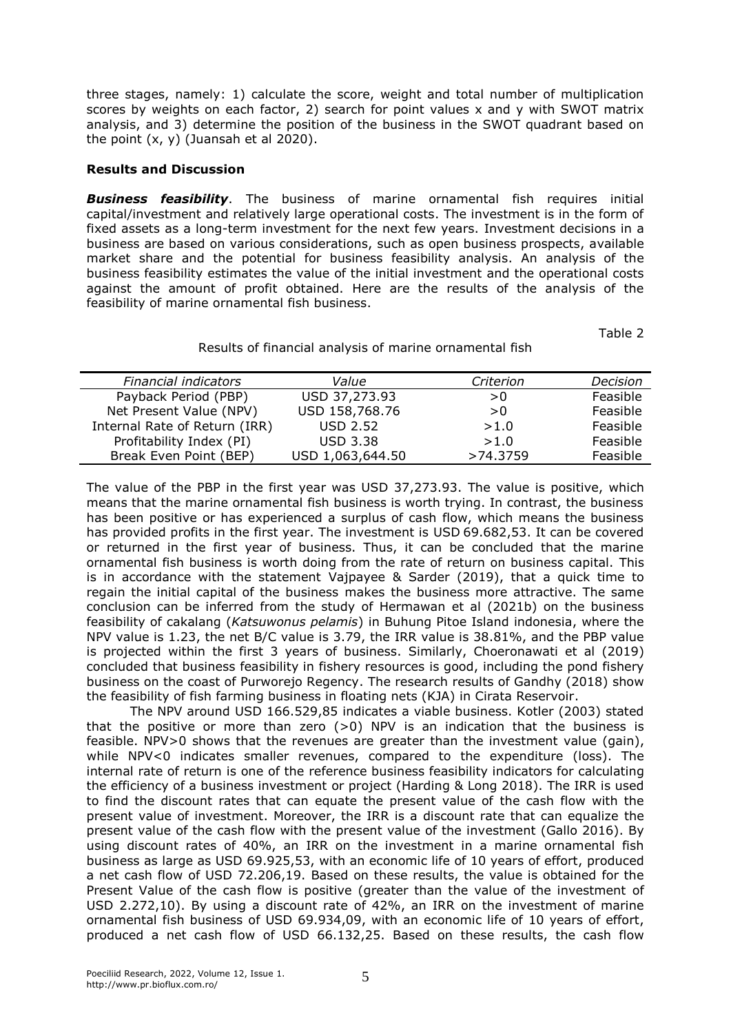three stages, namely: 1) calculate the score, weight and total number of multiplication scores by weights on each factor, 2) search for point values x and y with SWOT matrix analysis, and 3) determine the position of the business in the SWOT quadrant based on the point  $(x, y)$  (Juansah et al 2020).

#### **Results and Discussion**

*Business feasibility*. The business of marine ornamental fish requires initial capital/investment and relatively large operational costs. The investment is in the form of fixed assets as a long-term investment for the next few years. Investment decisions in a business are based on various considerations, such as open business prospects, available market share and the potential for business feasibility analysis. An analysis of the business feasibility estimates the value of the initial investment and the operational costs against the amount of profit obtained. Here are the results of the analysis of the feasibility of marine ornamental fish business.

Table 2

### Results of financial analysis of marine ornamental fish

| Financial indicators          | Value            | Criterion | Decision |
|-------------------------------|------------------|-----------|----------|
| Payback Period (PBP)          | USD 37,273.93    | > 0       | Feasible |
| Net Present Value (NPV)       | USD 158,768.76   | >0        | Feasible |
| Internal Rate of Return (IRR) | <b>USD 2.52</b>  | >1.0      | Feasible |
| Profitability Index (PI)      | <b>USD 3.38</b>  | >1.0      | Feasible |
| Break Even Point (BEP)        | USD 1,063,644.50 | >74.3759  | Feasible |

The value of the PBP in the first year was USD 37,273.93. The value is positive, which means that the marine ornamental fish business is worth trying. In contrast, the business has been positive or has experienced a surplus of cash flow, which means the business has provided profits in the first year. The investment is USD 69.682,53. It can be covered or returned in the first year of business. Thus, it can be concluded that the marine ornamental fish business is worth doing from the rate of return on business capital. This is in accordance with the statement Vajpayee & Sarder (2019), that a quick time to regain the initial capital of the business makes the business more attractive. The same conclusion can be inferred from the study of Hermawan et al (2021b) on the business feasibility of cakalang (*Katsuwonus pelamis*) in Buhung Pitoe Island indonesia, where the NPV value is 1.23, the net B/C value is 3.79, the IRR value is 38.81%, and the PBP value is projected within the first 3 years of business. Similarly, Choeronawati et al (2019) concluded that business feasibility in fishery resources is good, including the pond fishery business on the coast of Purworejo Regency. The research results of Gandhy (2018) show the feasibility of fish farming business in floating nets (KJA) in Cirata Reservoir.

The NPV around USD 166.529,85 indicates a viable business. Kotler (2003) stated that the positive or more than zero  $(>0)$  NPV is an indication that the business is feasible. NPV>0 shows that the revenues are greater than the investment value (gain), while NPV<0 indicates smaller revenues, compared to the expenditure (loss). The internal rate of return is one of the reference business feasibility indicators for calculating the efficiency of a business investment or project (Harding & Long 2018). The IRR is used to find the discount rates that can equate the present value of the cash flow with the present value of investment. Moreover, the IRR is a discount rate that can equalize the present value of the cash flow with the present value of the investment (Gallo 2016). By using discount rates of 40%, an IRR on the investment in a marine ornamental fish business as large as USD 69.925,53, with an economic life of 10 years of effort, produced a net cash flow of USD 72.206,19. Based on these results, the value is obtained for the Present Value of the cash flow is positive (greater than the value of the investment of USD 2.272,10). By using a discount rate of 42%, an IRR on the investment of marine ornamental fish business of USD 69.934,09, with an economic life of 10 years of effort, produced a net cash flow of USD 66.132,25. Based on these results, the cash flow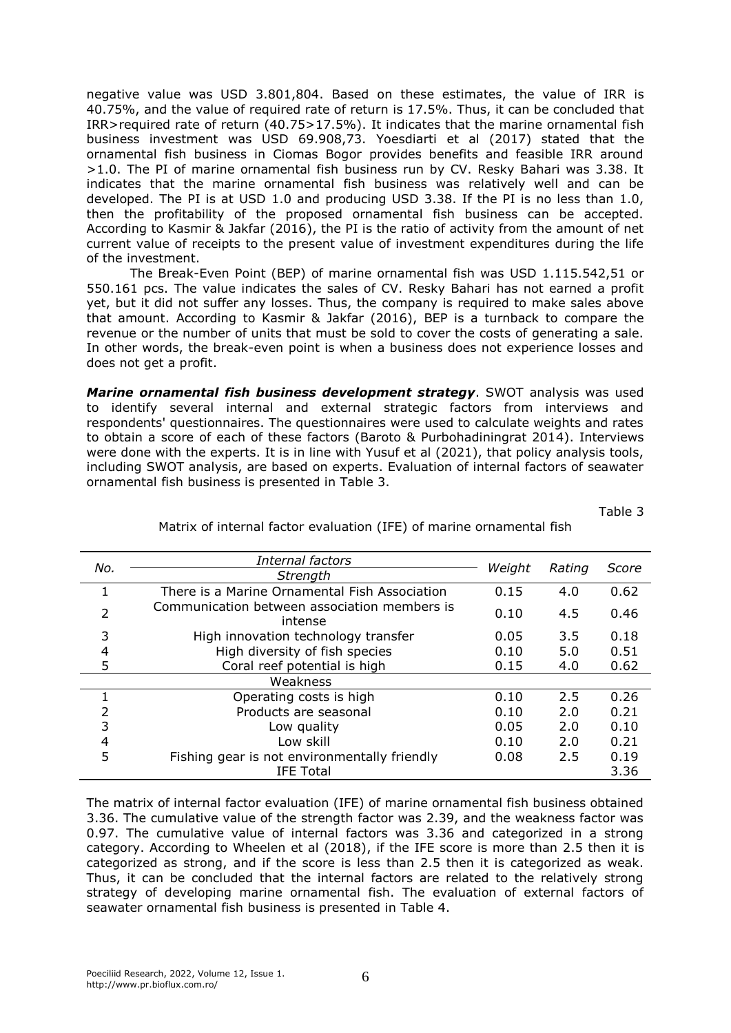negative value was USD 3.801,804. Based on these estimates, the value of IRR is 40.75%, and the value of required rate of return is 17.5%. Thus, it can be concluded that IRR>required rate of return (40.75>17.5%). It indicates that the marine ornamental fish business investment was USD 69.908,73. Yoesdiarti et al (2017) stated that the ornamental fish business in Ciomas Bogor provides benefits and feasible IRR around >1.0. The PI of marine ornamental fish business run by CV. Resky Bahari was 3.38. It indicates that the marine ornamental fish business was relatively well and can be developed. The PI is at USD 1.0 and producing USD 3.38. If the PI is no less than 1.0, then the profitability of the proposed ornamental fish business can be accepted. According to Kasmir & Jakfar (2016), the PI is the ratio of activity from the amount of net current value of receipts to the present value of investment expenditures during the life of the investment.

The Break-Even Point (BEP) of marine ornamental fish was USD 1.115.542,51 or 550.161 pcs. The value indicates the sales of CV. Resky Bahari has not earned a profit yet, but it did not suffer any losses. Thus, the company is required to make sales above that amount. According to Kasmir & Jakfar (2016), BEP is a turnback to compare the revenue or the number of units that must be sold to cover the costs of generating a sale. In other words, the break-even point is when a business does not experience losses and does not get a profit.

*Marine ornamental fish business development strategy*. SWOT analysis was used to identify several internal and external strategic factors from interviews and respondents' questionnaires. The questionnaires were used to calculate weights and rates to obtain a score of each of these factors (Baroto & Purbohadiningrat 2014). Interviews were done with the experts. It is in line with Yusuf et al (2021), that policy analysis tools, including SWOT analysis, are based on experts. Evaluation of internal factors of seawater ornamental fish business is presented in Table 3.

Table 3

| No.                      | Internal factors                                        |        |        |       |
|--------------------------|---------------------------------------------------------|--------|--------|-------|
|                          | Strength                                                | Weight | Rating | Score |
|                          | There is a Marine Ornamental Fish Association           |        | 4.0    | 0.62  |
| $\overline{\phantom{a}}$ | Communication between association members is<br>intense | 0.10   | 4.5    | 0.46  |
| 3                        | High innovation technology transfer                     |        | 3.5    | 0.18  |
| 4                        | High diversity of fish species                          |        | 5.0    | 0.51  |
| 5                        | Coral reef potential is high                            | 0.15   | 4.0    | 0.62  |
|                          | Weakness                                                |        |        |       |
|                          | Operating costs is high                                 | 0.10   | 2.5    | 0.26  |
| 2                        | Products are seasonal                                   | 0.10   | 2.0    | 0.21  |
| 3                        | Low quality                                             |        | 2.0    | 0.10  |
| 4                        | Low skill                                               |        | 2.0    | 0.21  |
| 5                        | Fishing gear is not environmentally friendly            | 0.08   | 2.5    | 0.19  |
|                          | <b>IFE Total</b>                                        |        |        | 3.36  |

## Matrix of internal factor evaluation (IFE) of marine ornamental fish

The matrix of internal factor evaluation (IFE) of marine ornamental fish business obtained 3.36. The cumulative value of the strength factor was 2.39, and the weakness factor was 0.97. The cumulative value of internal factors was 3.36 and categorized in a strong category. According to Wheelen et al (2018), if the IFE score is more than 2.5 then it is categorized as strong, and if the score is less than 2.5 then it is categorized as weak. Thus, it can be concluded that the internal factors are related to the relatively strong strategy of developing marine ornamental fish. The evaluation of external factors of seawater ornamental fish business is presented in Table 4.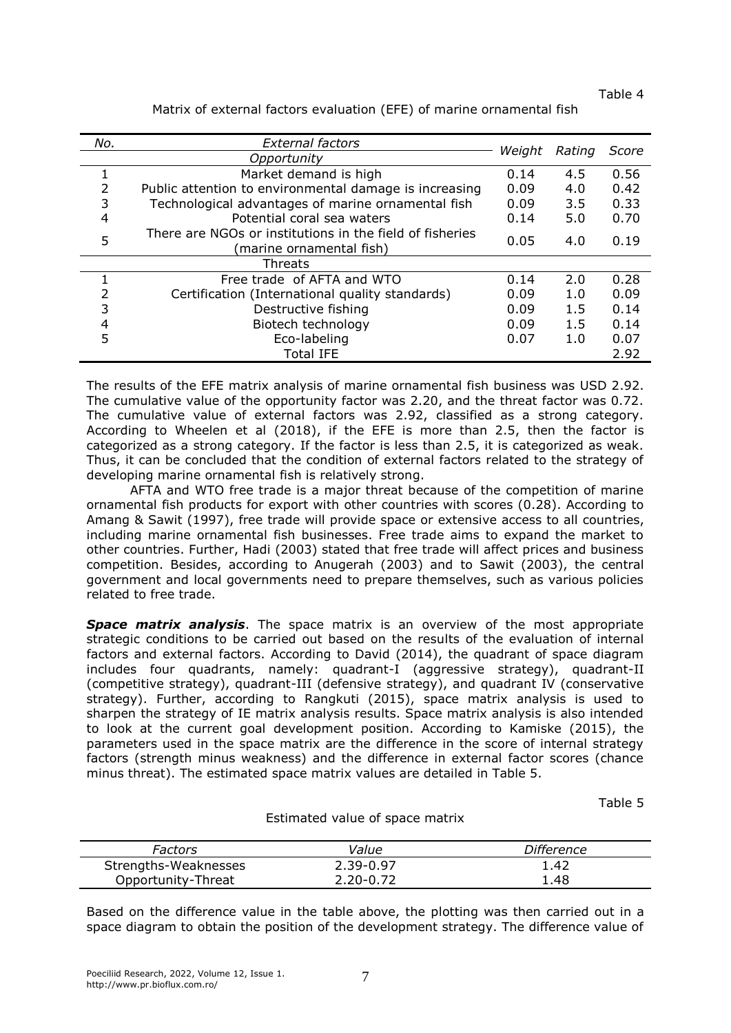Table 4

| No.           | External factors                                                                     |        |        | Score |
|---------------|--------------------------------------------------------------------------------------|--------|--------|-------|
|               | Opportunity                                                                          | Weight | Rating |       |
| T.            | Market demand is high                                                                | 0.14   | 4.5    | 0.56  |
| $\mathcal{P}$ | Public attention to environmental damage is increasing                               | 0.09   | 4.0    | 0.42  |
| 3             | Technological advantages of marine ornamental fish                                   | 0.09   | 3.5    | 0.33  |
| 4             | Potential coral sea waters                                                           | 0.14   | 5.0    | 0.70  |
| 5             | There are NGOs or institutions in the field of fisheries<br>(marine ornamental fish) | 0.05   | 4.0    | 0.19  |
|               | Threats                                                                              |        |        |       |
|               | Free trade of AFTA and WTO                                                           | 0.14   | 2.0    | 0.28  |
| 2             | Certification (International quality standards)                                      | 0.09   | 1.0    | 0.09  |
| 3             | Destructive fishing                                                                  | 0.09   | 1.5    | 0.14  |
| 4             | Biotech technology                                                                   | 0.09   | 1.5    | 0.14  |
| 5             | Eco-labeling                                                                         | 0.07   | 1.0    | 0.07  |
|               | <b>Total IFE</b>                                                                     |        |        | 2.92  |

Matrix of external factors evaluation (EFE) of marine ornamental fish

The results of the EFE matrix analysis of marine ornamental fish business was USD 2.92. The cumulative value of the opportunity factor was 2.20, and the threat factor was 0.72. The cumulative value of external factors was 2.92, classified as a strong category. According to Wheelen et al (2018), if the EFE is more than 2.5, then the factor is categorized as a strong category. If the factor is less than 2.5, it is categorized as weak. Thus, it can be concluded that the condition of external factors related to the strategy of developing marine ornamental fish is relatively strong.

AFTA and WTO free trade is a major threat because of the competition of marine ornamental fish products for export with other countries with scores (0.28). According to Amang & Sawit (1997), free trade will provide space or extensive access to all countries, including marine ornamental fish businesses. Free trade aims to expand the market to other countries. Further, Hadi (2003) stated that free trade will affect prices and business competition. Besides, according to Anugerah (2003) and to Sawit (2003), the central government and local governments need to prepare themselves, such as various policies related to free trade.

*Space matrix analysis*. The space matrix is an overview of the most appropriate strategic conditions to be carried out based on the results of the evaluation of internal factors and external factors. According to David (2014), the quadrant of space diagram includes four quadrants, namely: quadrant-I (aggressive strategy), quadrant-II (competitive strategy), quadrant-III (defensive strategy), and quadrant IV (conservative strategy). Further, according to Rangkuti (2015), space matrix analysis is used to sharpen the strategy of IE matrix analysis results. Space matrix analysis is also intended to look at the current goal development position. According to Kamiske (2015), the parameters used in the space matrix are the difference in the score of internal strategy factors (strength minus weakness) and the difference in external factor scores (chance minus threat). The estimated space matrix values are detailed in Table 5.

Table 5

| Factors              | Value         | Difference |
|----------------------|---------------|------------|
| Strengths-Weaknesses | $2.39 - 0.97$ | 1.42       |
| Opportunity-Threat   | 2.20-0.72     | 1.48       |

Estimated value of space matrix

Based on the difference value in the table above, the plotting was then carried out in a space diagram to obtain the position of the development strategy. The difference value of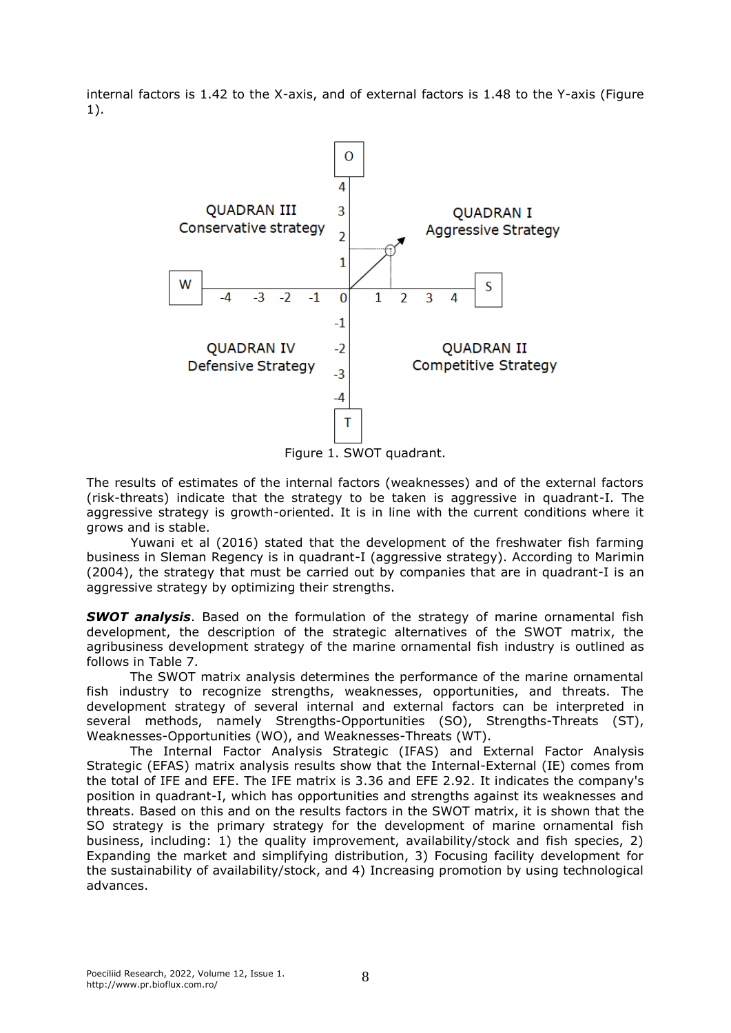internal factors is 1.42 to the X-axis, and of external factors is 1.48 to the Y-axis (Figure 1).



Figure 1. SWOT quadrant.

The results of estimates of the internal factors (weaknesses) and of the external factors (risk-threats) indicate that the strategy to be taken is aggressive in quadrant-I. The aggressive strategy is growth-oriented. It is in line with the current conditions where it grows and is stable.

Yuwani et al (2016) stated that the development of the freshwater fish farming business in Sleman Regency is in quadrant-I (aggressive strategy). According to Marimin (2004), the strategy that must be carried out by companies that are in quadrant-I is an aggressive strategy by optimizing their strengths.

*SWOT analysis*. Based on the formulation of the strategy of marine ornamental fish development, the description of the strategic alternatives of the SWOT matrix, the agribusiness development strategy of the marine ornamental fish industry is outlined as follows in Table 7.

The SWOT matrix analysis determines the performance of the marine ornamental fish industry to recognize strengths, weaknesses, opportunities, and threats. The development strategy of several internal and external factors can be interpreted in several methods, namely Strengths-Opportunities (SO), Strengths-Threats (ST), Weaknesses-Opportunities (WO), and Weaknesses-Threats (WT).

The Internal Factor Analysis Strategic (IFAS) and External Factor Analysis Strategic (EFAS) matrix analysis results show that the Internal-External (IE) comes from the total of IFE and EFE. The IFE matrix is 3.36 and EFE 2.92. It indicates the company's position in quadrant-I, which has opportunities and strengths against its weaknesses and threats. Based on this and on the results factors in the SWOT matrix, it is shown that the SO strategy is the primary strategy for the development of marine ornamental fish business, including: 1) the quality improvement, availability/stock and fish species, 2) Expanding the market and simplifying distribution, 3) Focusing facility development for the sustainability of availability/stock, and 4) Increasing promotion by using technological advances.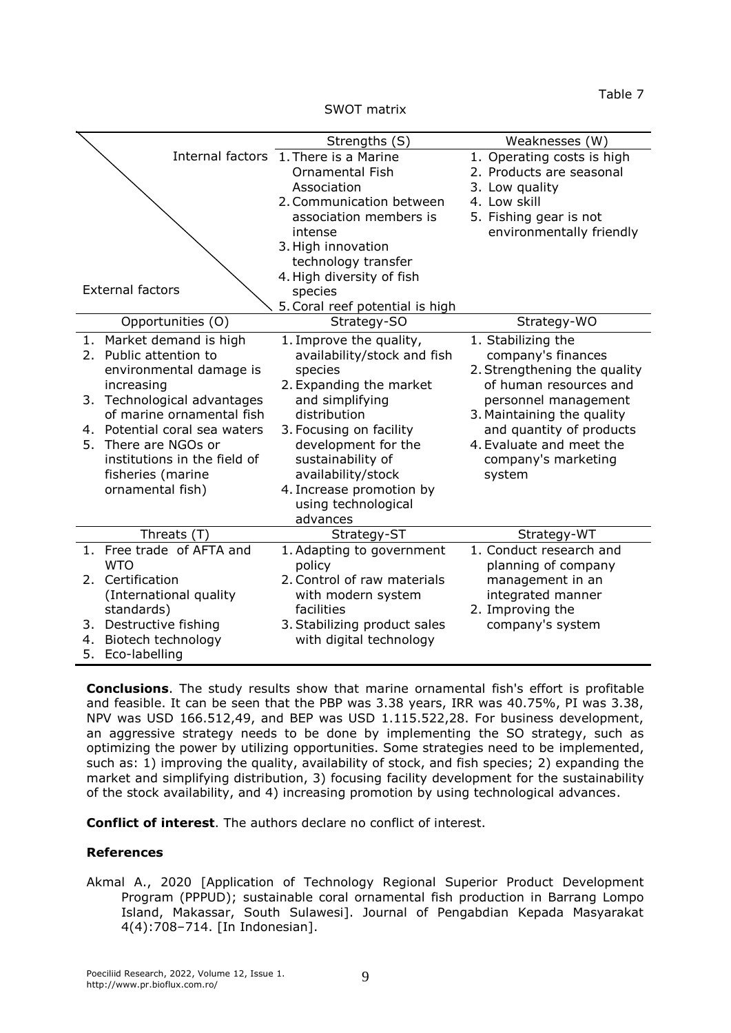Table 7

SWOT matrix

|                               | Strengths (S)                         | Weaknesses (W)               |  |  |  |
|-------------------------------|---------------------------------------|------------------------------|--|--|--|
|                               | Internal factors 1. There is a Marine | 1. Operating costs is high   |  |  |  |
|                               | <b>Ornamental Fish</b>                | 2. Products are seasonal     |  |  |  |
|                               | Association                           | 3. Low quality               |  |  |  |
|                               | 2. Communication between              | 4. Low skill                 |  |  |  |
|                               | association members is                | 5. Fishing gear is not       |  |  |  |
|                               | intense                               | environmentally friendly     |  |  |  |
|                               | 3. High innovation                    |                              |  |  |  |
|                               | technology transfer                   |                              |  |  |  |
|                               | 4. High diversity of fish             |                              |  |  |  |
| <b>External factors</b>       | species                               |                              |  |  |  |
|                               | 5. Coral reef potential is high       |                              |  |  |  |
| Opportunities (O)             | Strategy-SO                           | Strategy-WO                  |  |  |  |
| Market demand is high<br>1.   | 1. Improve the quality,               | 1. Stabilizing the           |  |  |  |
| Public attention to<br>2.     | availability/stock and fish           | company's finances           |  |  |  |
| environmental damage is       | species                               | 2. Strengthening the quality |  |  |  |
| increasing                    | 2. Expanding the market               | of human resources and       |  |  |  |
| 3. Technological advantages   | and simplifying                       | personnel management         |  |  |  |
| of marine ornamental fish     | distribution                          | 3. Maintaining the quality   |  |  |  |
| 4. Potential coral sea waters | 3. Focusing on facility               | and quantity of products     |  |  |  |
| There are NGOs or<br>5.       | development for the                   | 4. Evaluate and meet the     |  |  |  |
| institutions in the field of  | sustainability of                     | company's marketing          |  |  |  |
| fisheries (marine             | availability/stock                    | system                       |  |  |  |
| ornamental fish)              | 4. Increase promotion by              |                              |  |  |  |
|                               | using technological                   |                              |  |  |  |
|                               | advances                              |                              |  |  |  |
| Threats (T)                   | Strategy-ST                           | Strategy-WT                  |  |  |  |
| 1. Free trade of AFTA and     | 1. Adapting to government             | 1. Conduct research and      |  |  |  |
| <b>WTO</b>                    | policy                                | planning of company          |  |  |  |
| Certification<br>2.           | 2. Control of raw materials           | management in an             |  |  |  |
| (International quality        | with modern system                    | integrated manner            |  |  |  |
| standards)                    | facilities                            | 2. Improving the             |  |  |  |
| Destructive fishing<br>3.     | 3. Stabilizing product sales          | company's system             |  |  |  |
| Biotech technology<br>4.      | with digital technology               |                              |  |  |  |
| 5.<br>Eco-labelling           |                                       |                              |  |  |  |

**Conclusions**. The study results show that marine ornamental fish's effort is profitable and feasible. It can be seen that the PBP was 3.38 years, IRR was 40.75%, PI was 3.38, NPV was USD 166.512,49, and BEP was USD 1.115.522,28. For business development, an aggressive strategy needs to be done by implementing the SO strategy, such as optimizing the power by utilizing opportunities. Some strategies need to be implemented, such as: 1) improving the quality, availability of stock, and fish species; 2) expanding the market and simplifying distribution, 3) focusing facility development for the sustainability of the stock availability, and 4) increasing promotion by using technological advances.

**Conflict of interest**. The authors declare no conflict of interest.

## **References**

Akmal A., 2020 [Application of Technology Regional Superior Product Development Program (PPPUD); sustainable coral ornamental fish production in Barrang Lompo Island, Makassar, South Sulawesi]. Journal of Pengabdian Kepada Masyarakat 4(4):708–714. [In Indonesian].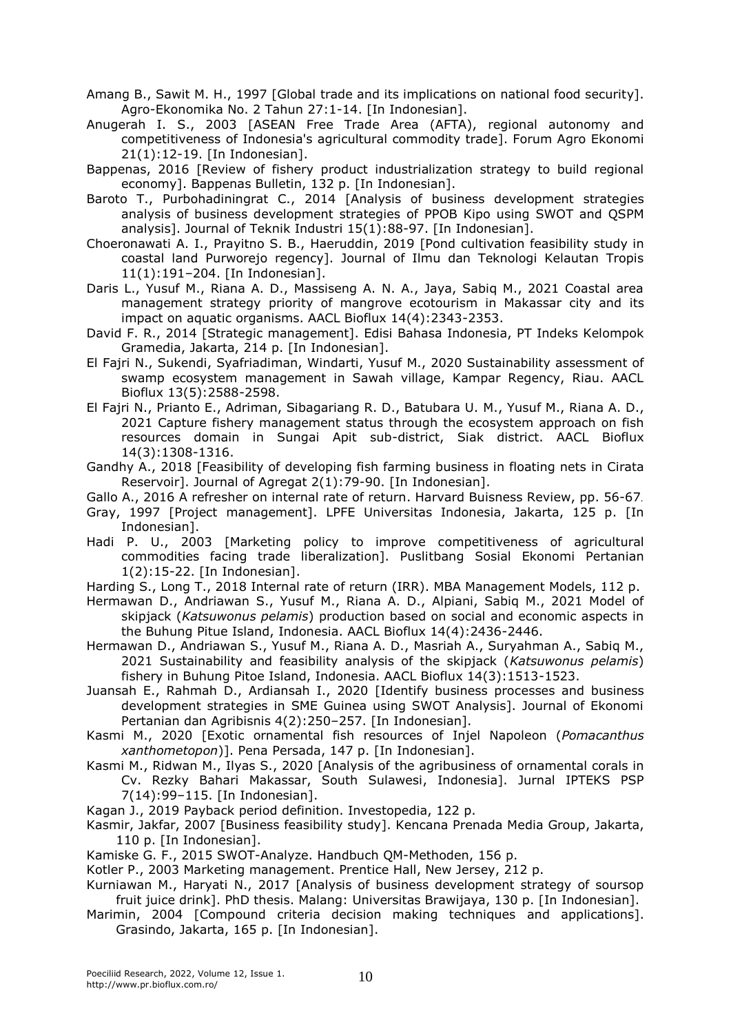Amang B., Sawit M. H., 1997 [Global trade and its implications on national food security]. Agro-Ekonomika No. 2 Tahun 27:1-14. [In Indonesian].

Anugerah I. S., 2003 [ASEAN Free Trade Area (AFTA), regional autonomy and competitiveness of Indonesia's agricultural commodity trade]. Forum Agro Ekonomi 21(1):12-19. [In Indonesian].

- Bappenas, 2016 [Review of fishery product industrialization strategy to build regional economy]. Bappenas Bulletin, 132 p. [In Indonesian].
- Baroto T., Purbohadiningrat C., 2014 [Analysis of business development strategies analysis of business development strategies of PPOB Kipo using SWOT and QSPM analysis]. Journal of Teknik Industri 15(1):88-97. [In Indonesian].
- Choeronawati A. I., Prayitno S. B., Haeruddin, 2019 [Pond cultivation feasibility study in coastal land Purworejo regency]. Journal of Ilmu dan Teknologi Kelautan Tropis 11(1):191–204. [In Indonesian].
- Daris L., Yusuf M., Riana A. D., Massiseng A. N. A., Jaya, Sabiq M., 2021 Coastal area management strategy priority of mangrove ecotourism in Makassar city and its impact on aquatic organisms. AACL Bioflux 14(4):2343-2353.
- David F. R., 2014 [Strategic management]. Edisi Bahasa Indonesia, PT Indeks Kelompok Gramedia, Jakarta, 214 p. [In Indonesian].
- El Fajri N., Sukendi, Syafriadiman, Windarti, Yusuf M., 2020 Sustainability assessment of swamp ecosystem management in Sawah village, Kampar Regency, Riau. AACL Bioflux 13(5):2588-2598.
- El Fajri N., Prianto E., Adriman, Sibagariang R. D., Batubara U. M., Yusuf M., Riana A. D., 2021 Capture fishery management status through the ecosystem approach on fish resources domain in Sungai Apit sub-district, Siak district. AACL Bioflux 14(3):1308-1316.
- Gandhy A., 2018 [Feasibility of developing fish farming business in floating nets in Cirata Reservoir]. Journal of Agregat 2(1):79-90. [In Indonesian].

Gallo A., 2016 A refresher on internal rate of return. Harvard Buisness Review, pp. 56-67.

- Gray, 1997 [Project management]. LPFE Universitas Indonesia, Jakarta, 125 p. [In Indonesian].
- Hadi P. U., 2003 [Marketing policy to improve competitiveness of agricultural commodities facing trade liberalization]. Puslitbang Sosial Ekonomi Pertanian 1(2):15-22. [In Indonesian].

Harding S., Long T., 2018 Internal rate of return (IRR). MBA Management Models, 112 p.

Hermawan D., Andriawan S., Yusuf M., Riana A. D., Alpiani, Sabiq M., 2021 Model of skipjack (*Katsuwonus pelamis*) production based on social and economic aspects in the Buhung Pitue Island, Indonesia. AACL Bioflux 14(4):2436-2446.

Hermawan D., Andriawan S., Yusuf M., Riana A. D., Masriah A., Suryahman A., Sabiq M., 2021 Sustainability and feasibility analysis of the skipjack (*Katsuwonus pelamis*) fishery in Buhung Pitoe Island, Indonesia. AACL Bioflux 14(3):1513-1523.

Juansah E., Rahmah D., Ardiansah I., 2020 [Identify business processes and business development strategies in SME Guinea using SWOT Analysis]. Journal of Ekonomi Pertanian dan Agribisnis 4(2):250–257. [In Indonesian].

Kasmi M., 2020 [Exotic ornamental fish resources of Injel Napoleon (*Pomacanthus xanthometopon*)]. Pena Persada, 147 p. [In Indonesian].

Kasmi M., Ridwan M., Ilyas S., 2020 [Analysis of the agribusiness of ornamental corals in Cv. Rezky Bahari Makassar, South Sulawesi, Indonesia]. Jurnal IPTEKS PSP 7(14):99–115. [In Indonesian].

Kagan J., 2019 Payback period definition. Investopedia, 122 p.

Kasmir, Jakfar, 2007 [Business feasibility study]. Kencana Prenada Media Group, Jakarta, 110 p. [In Indonesian].

Kamiske G. F., 2015 SWOT-Analyze. Handbuch QM-Methoden, 156 p.

- Kotler P., 2003 Marketing management. Prentice Hall, New Jersey, 212 p.
- Kurniawan M., Haryati N., 2017 [Analysis of business development strategy of soursop fruit juice drink]. PhD thesis. Malang: Universitas Brawijaya, 130 p. [In Indonesian].
- Marimin, 2004 [Compound criteria decision making techniques and applications]. Grasindo, Jakarta, 165 p. [In Indonesian].